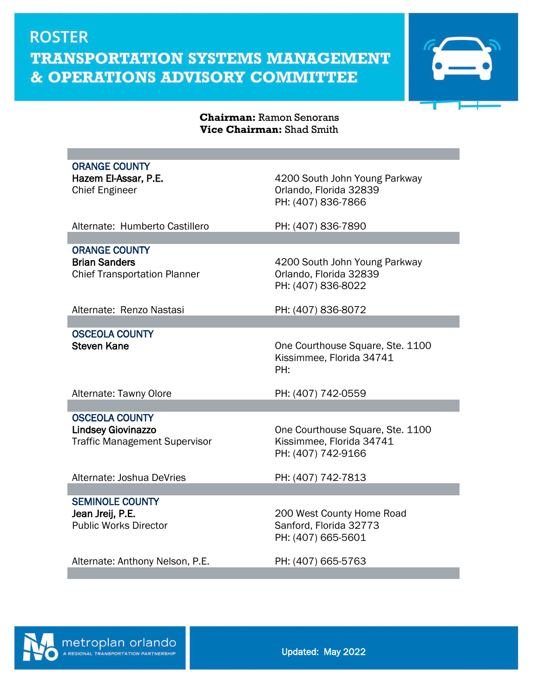

#### **Chairman:** Ramon Senorans **Vice Chairman:** Shad Smith

| <b>ORANGE COUNTY</b><br>Hazem El-Assar, P.E.<br><b>Chief Engineer</b>                      | 4200 South John Young Parkway<br>Orlando, Florida 32839<br>PH: (407) 836-7866      |
|--------------------------------------------------------------------------------------------|------------------------------------------------------------------------------------|
| Alternate: Humberto Castillero                                                             | PH: (407) 836-7890                                                                 |
| <b>ORANGE COUNTY</b>                                                                       |                                                                                    |
| <b>Brian Sanders</b><br><b>Chief Transportation Planner</b>                                | 4200 South John Young Parkway<br>Orlando, Florida 32839<br>PH: (407) 836-8022      |
| Alternate: Renzo Nastasi                                                                   | PH: (407) 836-8072                                                                 |
|                                                                                            |                                                                                    |
| <b>OSCEOLA COUNTY</b><br><b>Steven Kane</b>                                                | One Courthouse Square, Ste. 1100<br>Kissimmee, Florida 34741<br>PH:                |
| Alternate: Tawny Olore                                                                     | PH: (407) 742-0559                                                                 |
|                                                                                            |                                                                                    |
| <b>OSCEOLA COUNTY</b><br><b>Lindsey Giovinazzo</b><br><b>Traffic Management Supervisor</b> | One Courthouse Square, Ste. 1100<br>Kissimmee, Florida 34741<br>PH: (407) 742-9166 |
| Alternate: Joshua DeVries                                                                  | PH: (407) 742-7813                                                                 |
|                                                                                            |                                                                                    |
| <b>SEMINOLE COUNTY</b><br>Jean Jreij, P.E.<br><b>Public Works Director</b>                 | 200 West County Home Road<br>Sanford, Florida 32773<br>PH: (407) 665-5601          |
| Alternate: Anthony Nelson, P.E.                                                            | PH: (407) 665-5763                                                                 |
|                                                                                            |                                                                                    |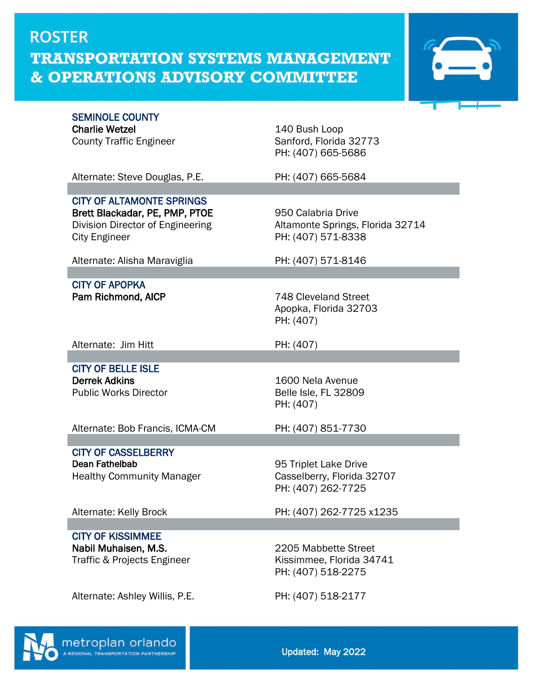

| <b>SEMINOLE COUNTY</b><br><b>Charlie Wetzel</b><br><b>County Traffic Engineer</b>                                              | 140 Bush Loop<br>Sanford, Florida 32773<br>PH: (407) 665-5686                |
|--------------------------------------------------------------------------------------------------------------------------------|------------------------------------------------------------------------------|
| Alternate: Steve Douglas, P.E.                                                                                                 | PH: (407) 665-5684                                                           |
|                                                                                                                                |                                                                              |
| <b>CITY OF ALTAMONTE SPRINGS</b><br>Brett Blackadar, PE, PMP, PTOE<br>Division Director of Engineering<br><b>City Engineer</b> | 950 Calabria Drive<br>Altamonte Springs, Florida 32714<br>PH: (407) 571-8338 |
| Alternate: Alisha Maraviglia                                                                                                   | PH: (407) 571-8146                                                           |
|                                                                                                                                |                                                                              |
| <b>CITY OF APOPKA</b><br>Pam Richmond, AICP                                                                                    | 748 Cleveland Street<br>Apopka, Florida 32703<br>PH: (407)                   |
| Alternate: Jim Hitt                                                                                                            | PH: (407)                                                                    |
|                                                                                                                                |                                                                              |
| <b>CITY OF BELLE ISLE</b><br><b>Derrek Adkins</b><br><b>Public Works Director</b>                                              | 1600 Nela Avenue<br>Belle Isle, FL 32809<br>PH: (407)                        |
| Alternate: Bob Francis, ICMA-CM                                                                                                | PH: (407) 851-7730                                                           |
|                                                                                                                                |                                                                              |
| <b>CITY OF CASSELBERRY</b><br>Dean Fathelbab<br><b>Healthy Community Manager</b>                                               | 95 Triplet Lake Drive<br>Casselberry, Florida 32707<br>PH: (407) 262-7725    |
| Alternate: Kelly Brock                                                                                                         | PH: (407) 262-7725 x1235                                                     |
|                                                                                                                                |                                                                              |
| <b>CITY OF KISSIMMEE</b><br>Nabil Muhaisen, M.S.<br>Traffic & Projects Engineer                                                | 2205 Mabbette Street<br>Kissimmee, Florida 34741<br>PH: (407) 518-2275       |
| Alternate: Ashley Willis, P.E.                                                                                                 | PH: (407) 518-2177                                                           |
|                                                                                                                                |                                                                              |



Updated: May 2022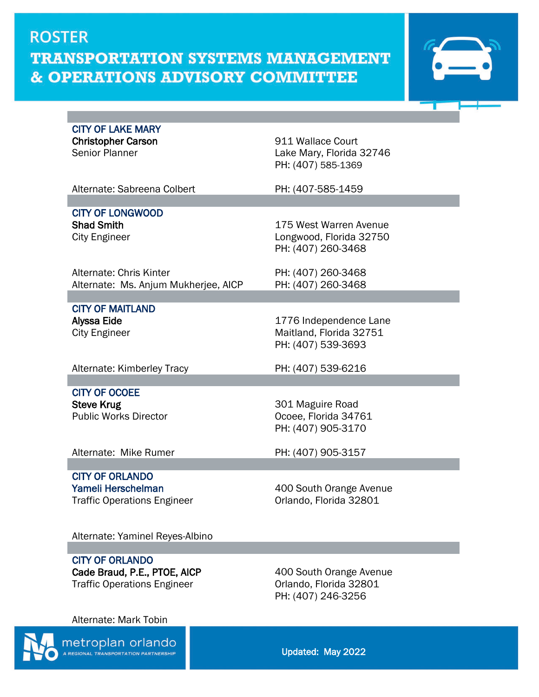

CITY OF LAKE MARY

Christopher Carson<br>
Senior Planner<br>
Senior Planner<br>
Senior Planner Lake Mary, Florida 32746 PH: (407) 585-1369

Alternate: Sabreena Colbert PH: (407-585-1459

CITY OF LONGWOOD Shad Smith 175 West Warren Avenue

Alternate: Chris Kinter **PH: (407)** 260-3468 Alternate: Ms. Anjum Mukherjee, AICP PH: (407) 260-3468

CITY OF MAITLAND<br>Alyssa Eide

City Engineer **Longwood**, Florida 32750 PH: (407) 260-3468

1776 Independence Lane City Engineer **Maitland, Florida 32751** PH: (407) 539-3693

Alternate: Kimberley Tracy PH: (407) 539-6216

CITY OF OCOEE Steve Krug<br>
Public Works Director<br>
Public Works Director<br>
247

Ocoee, Florida 34761 PH: (407) 905-3170

Alternate: Mike Rumer PH: (407) 905-3157

CITY OF ORLANDO Traffic Operations Engineer

Yameli Herschelman<br>
Traffic Operations Engineer
Annel Criando, Florida 32801

Alternate: Yaminel Reyes-Albino

CITY OF ORLANDO

Cade Braud, P.E., PTOE, AICP 400 South Orange Avenue Traffic Operations Engineer **Communist Containers** Orlando, Florida 32801

PH: (407) 246-3256

Alternate: Mark Tobin



metroplan orlando **EGIONAL TRANSPORTATION PARTNERSHIP** 

Updated: May 2022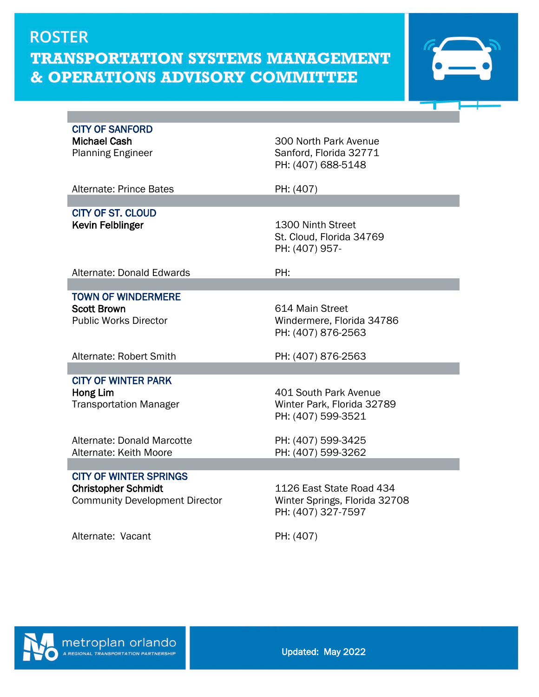

| <b>CITY OF SANFORD</b><br><b>Michael Cash</b><br><b>Planning Engineer</b>                            | 300 North Park Avenue<br>Sanford, Florida 32771<br>PH: (407) 688-5148           |
|------------------------------------------------------------------------------------------------------|---------------------------------------------------------------------------------|
| Alternate: Prince Bates                                                                              | PH: (407)                                                                       |
| <b>CITY OF ST. CLOUD</b>                                                                             |                                                                                 |
| <b>Kevin Felblinger</b>                                                                              | 1300 Ninth Street<br>St. Cloud, Florida 34769<br>PH: (407) 957-                 |
| Alternate: Donald Edwards                                                                            | PH:                                                                             |
| <b>TOWN OF WINDERMERE</b>                                                                            |                                                                                 |
| <b>Scott Brown</b><br><b>Public Works Director</b>                                                   | 614 Main Street<br>Windermere, Florida 34786<br>PH: (407) 876-2563              |
| Alternate: Robert Smith                                                                              | PH: (407) 876-2563                                                              |
|                                                                                                      |                                                                                 |
| <b>CITY OF WINTER PARK</b><br>Hong Lim<br><b>Transportation Manager</b>                              | 401 South Park Avenue<br>Winter Park, Florida 32789<br>PH: (407) 599-3521       |
| Alternate: Donald Marcotte<br>Alternate: Keith Moore                                                 | PH: (407) 599-3425<br>PH: (407) 599-3262                                        |
|                                                                                                      |                                                                                 |
| <b>CITY OF WINTER SPRINGS</b><br><b>Christopher Schmidt</b><br><b>Community Development Director</b> | 1126 East State Road 434<br>Winter Springs, Florida 32708<br>PH: (407) 327-7597 |
| Alternate: Vacant                                                                                    | PH: (407)                                                                       |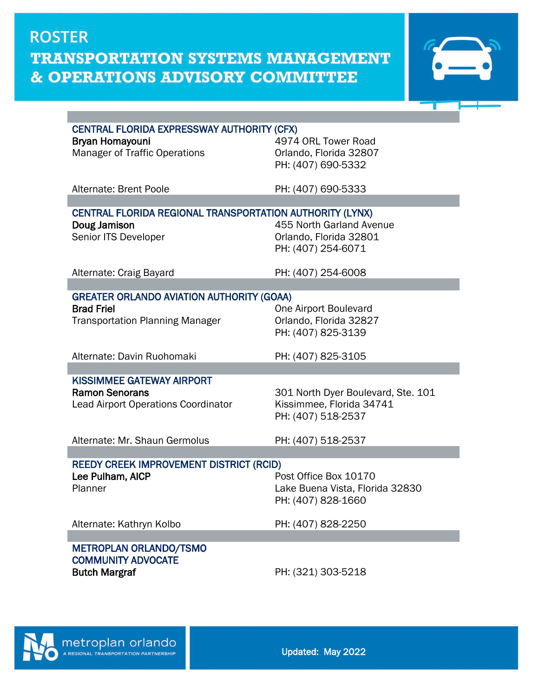

| <b>CENTRAL FLORIDA EXPRESSWAY AUTHORITY (CFX)</b>        |                                    |  |
|----------------------------------------------------------|------------------------------------|--|
| <b>Bryan Homayouni</b>                                   | 4974 ORL Tower Road                |  |
| <b>Manager of Traffic Operations</b>                     | Orlando, Florida 32807             |  |
|                                                          | PH: (407) 690-5332                 |  |
|                                                          |                                    |  |
| Alternate: Brent Poole                                   | PH: (407) 690-5333                 |  |
|                                                          |                                    |  |
| CENTRAL FLORIDA REGIONAL TRANSPORTATION AUTHORITY (LYNX) |                                    |  |
| Doug Jamison                                             | 455 North Garland Avenue           |  |
| Senior ITS Developer                                     | Orlando, Florida 32801             |  |
|                                                          | PH: (407) 254-6071                 |  |
| Alternate: Craig Bayard                                  | PH: (407) 254-6008                 |  |
|                                                          |                                    |  |
| <b>GREATER ORLANDO AVIATION AUTHORITY (GOAA)</b>         |                                    |  |
| <b>Brad Friel</b>                                        | One Airport Boulevard              |  |
| <b>Transportation Planning Manager</b>                   | Orlando, Florida 32827             |  |
|                                                          | PH: (407) 825-3139                 |  |
|                                                          |                                    |  |
| Alternate: Davin Ruohomaki                               | PH: (407) 825-3105                 |  |
|                                                          |                                    |  |
| <b>KISSIMMEE GATEWAY AIRPORT</b>                         |                                    |  |
| <b>Ramon Senorans</b>                                    | 301 North Dyer Boulevard, Ste. 101 |  |
| <b>Lead Airport Operations Coordinator</b>               | Kissimmee, Florida 34741           |  |
|                                                          | PH: (407) 518-2537                 |  |
|                                                          |                                    |  |
| Alternate: Mr. Shaun Germolus                            | PH: (407) 518-2537                 |  |
|                                                          |                                    |  |
| <b>REEDY CREEK IMPROVEMENT DISTRICT (RCID)</b>           |                                    |  |
| Lee Pulham, AICP                                         | Post Office Box 10170              |  |
| Planner                                                  | Lake Buena Vista, Florida 32830    |  |
|                                                          | PH: (407) 828-1660                 |  |
|                                                          |                                    |  |
| Alternate: Kathryn Kolbo                                 | PH: (407) 828-2250                 |  |
| METROPLAN ORLANDO/TSMO                                   |                                    |  |
| <b>COMMUNITY ADVOCATE</b>                                |                                    |  |
| <b>Butch Margraf</b>                                     | PH: (321) 303-5218                 |  |
|                                                          |                                    |  |